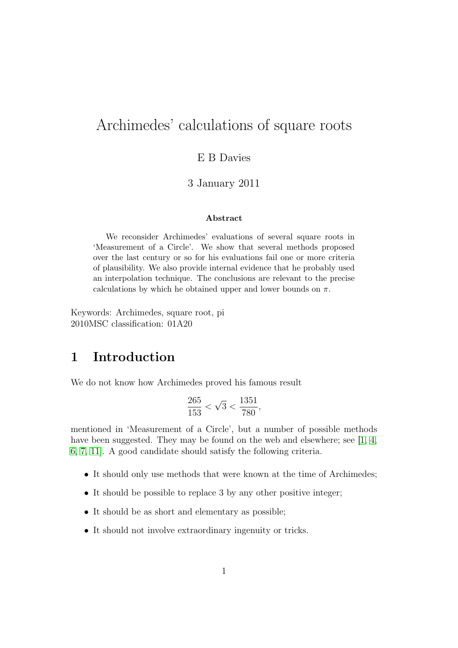# Archimedes' calculations of square roots

#### E B Davies

#### 3 January 2011

#### Abstract

We reconsider Archimedes' evaluations of several square roots in 'Measurement of a Circle'. We show that several methods proposed over the last century or so for his evaluations fail one or more criteria of plausibility. We also provide internal evidence that he probably used an interpolation technique. The conclusions are relevant to the precise calculations by which he obtained upper and lower bounds on  $\pi$ .

Keywords: Archimedes, square root, pi 2010MSC classification: 01A20

#### 1 Introduction

We do not know how Archimedes proved his famous result

$$
\frac{265}{153} < \sqrt{3} < \frac{1351}{780},
$$

mentioned in 'Measurement of a Circle', but a number of possible methods have been suggested. They may be found on the web and elsewhere; see [\[1,](#page-13-0) [4,](#page-13-1) [6,](#page-13-2) [7,](#page-13-3) [11\]](#page-13-4). A good candidate should satisfy the following criteria.

- It should only use methods that were known at the time of Archimedes;
- It should be possible to replace 3 by any other positive integer;
- It should be as short and elementary as possible;
- It should not involve extraordinary ingenuity or tricks.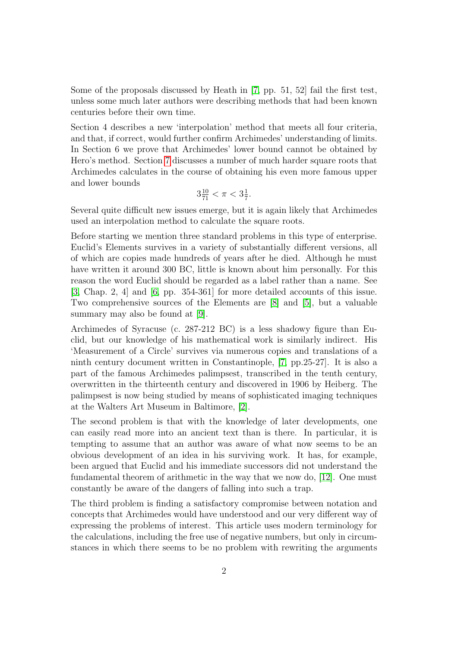Some of the proposals discussed by Heath in [\[7,](#page-13-3) pp. 51, 52] fail the first test, unless some much later authors were describing methods that had been known centuries before their own time.

Section 4 describes a new 'interpolation' method that meets all four criteria, and that, if correct, would further confirm Archimedes' understanding of limits. In Section 6 we prove that Archimedes' lower bound cannot be obtained by Hero's method. Section [7](#page-10-0) discusses a number of much harder square roots that Archimedes calculates in the course of obtaining his even more famous upper and lower bounds

$$
3\frac{10}{71} < \pi < 3\frac{1}{7}.
$$

Several quite difficult new issues emerge, but it is again likely that Archimedes used an interpolation method to calculate the square roots.

Before starting we mention three standard problems in this type of enterprise. Euclid's Elements survives in a variety of substantially different versions, all of which are copies made hundreds of years after he died. Although he must have written it around 300 BC, little is known about him personally. For this reason the word Euclid should be regarded as a label rather than a name. See [\[3,](#page-13-5) Chap. 2, 4] and [\[6,](#page-13-2) pp. 354-361] for more detailed accounts of this issue. Two comprehensive sources of the Elements are [\[8\]](#page-13-6) and [\[5\]](#page-13-7), but a valuable summary may also be found at [\[9\]](#page-13-8).

Archimedes of Syracuse (c. 287-212 BC) is a less shadowy figure than Euclid, but our knowledge of his mathematical work is similarly indirect. His 'Measurement of a Circle' survives via numerous copies and translations of a ninth century document written in Constantinople, [\[7,](#page-13-3) pp.25-27]. It is also a part of the famous Archimedes palimpsest, transcribed in the tenth century, overwritten in the thirteenth century and discovered in 1906 by Heiberg. The palimpsest is now being studied by means of sophisticated imaging techniques at the Walters Art Museum in Baltimore, [\[2\]](#page-13-9).

The second problem is that with the knowledge of later developments, one can easily read more into an ancient text than is there. In particular, it is tempting to assume that an author was aware of what now seems to be an obvious development of an idea in his surviving work. It has, for example, been argued that Euclid and his immediate successors did not understand the fundamental theorem of arithmetic in the way that we now do, [\[12\]](#page-14-0). One must constantly be aware of the dangers of falling into such a trap.

The third problem is finding a satisfactory compromise between notation and concepts that Archimedes would have understood and our very different way of expressing the problems of interest. This article uses modern terminology for the calculations, including the free use of negative numbers, but only in circumstances in which there seems to be no problem with rewriting the arguments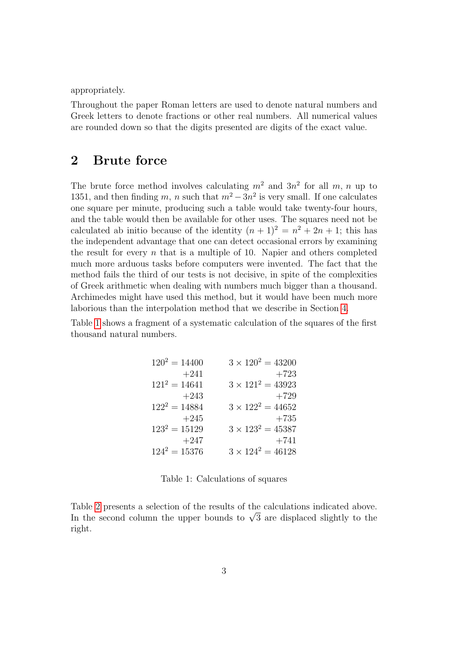appropriately.

Throughout the paper Roman letters are used to denote natural numbers and Greek letters to denote fractions or other real numbers. All numerical values are rounded down so that the digits presented are digits of the exact value.

# 2 Brute force

The brute force method involves calculating  $m^2$  and  $3n^2$  for all m, n up to 1351, and then finding m, n such that  $m^2 - 3n^2$  is very small. If one calculates one square per minute, producing such a table would take twenty-four hours, and the table would then be available for other uses. The squares need not be calculated ab initio because of the identity  $(n + 1)^2 = n^2 + 2n + 1$ ; this has the independent advantage that one can detect occasional errors by examining the result for every  $n$  that is a multiple of 10. Napier and others completed much more arduous tasks before computers were invented. The fact that the method fails the third of our tests is not decisive, in spite of the complexities of Greek arithmetic when dealing with numbers much bigger than a thousand. Archimedes might have used this method, but it would have been much more laborious than the interpolation method that we describe in Section [4.](#page-4-0)

Table [1](#page-2-0) shows a fragment of a systematic calculation of the squares of the first thousand natural numbers.

| $120^2 = 14400$ | $3 \times 120^2 = 43200$ |
|-----------------|--------------------------|
| $+241$          | $+723$                   |
| $121^2 = 14641$ | $3 \times 121^2 = 43923$ |
| $+243$          | $+729$                   |
| $122^2 = 14884$ | $3 \times 122^2 = 44652$ |
| $+245$          | $+735$                   |
| $123^2 = 15129$ | $3 \times 123^2 = 45387$ |
| $+247$          | $+741$                   |
| $124^2 = 15376$ | $3 \times 124^2 = 46128$ |

<span id="page-2-0"></span>Table 1: Calculations of squares

Table [2](#page-3-0) presents a selection of the results of the calculations indicated above. Table 2 presents a selection of the results of the calculations indicated above.<br>In the second column the upper bounds to  $\sqrt{3}$  are displaced slightly to the right.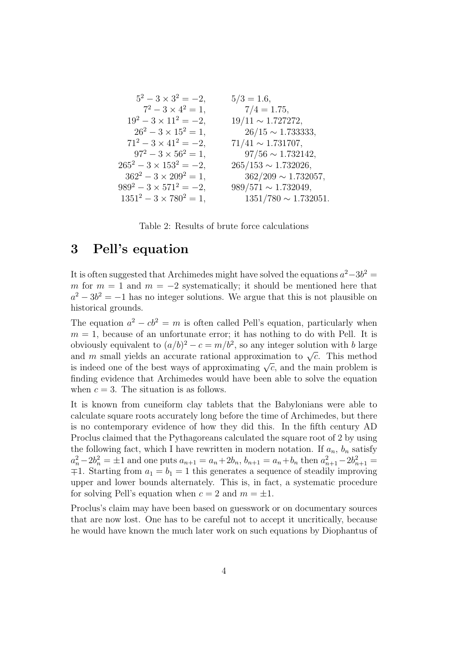$$
5^2 - 3 \times 3^2 = -2,
$$
  
\n
$$
7^2 - 3 \times 4^2 = 1,
$$
  
\n
$$
19^2 - 3 \times 11^2 = -2,
$$
  
\n
$$
26^2 - 3 \times 15^2 = 1,
$$
  
\n
$$
7^2 - 3 \times 41^2 = -2,
$$
  
\n
$$
26^2 - 3 \times 15^2 = 1,
$$
  
\n
$$
5/3 = 1.6,
$$
  
\n
$$
7/4 = 1.75,
$$
  
\n
$$
9/11 \sim 1.727272,
$$
  
\n
$$
26/15 \sim 1.733333,
$$
  
\n
$$
71^2 - 3 \times 41^2 = -2,
$$
  
\n
$$
97/56 \sim 1.732142,
$$
  
\n
$$
265^2 - 3 \times 153^2 = -2,
$$
  
\n
$$
362^2 - 3 \times 209^2 = 1,
$$
  
\n
$$
989/571 \sim 1.732026,
$$
  
\n
$$
989^2 - 3 \times 571^2 = -2,
$$
  
\n
$$
989/571 \sim 1.732049,
$$
  
\n
$$
1351^2 - 3 \times 780^2 = 1,
$$
  
\n
$$
1351/780 \sim 1.732051.
$$

<span id="page-3-0"></span>Table 2: Results of brute force calculations

#### 3 Pell's equation

It is often suggested that Archimedes might have solved the equations  $a^2-3b^2=$ m for  $m = 1$  and  $m = -2$  systematically; it should be mentioned here that  $a^2 - 3b^2 = -1$  has no integer solutions. We argue that this is not plausible on historical grounds.

The equation  $a^2 - cb^2 = m$  is often called Pell's equation, particularly when  $m = 1$ , because of an unfortunate error; it has nothing to do with Pell. It is obviously equivalent to  $(a/b)^2 - c = m/b^2$ , so any integer solution with b large obviously equivalent to  $u/v$  =  $c = m/v$ , so any integer solution with v large and m small yields an accurate rational approximation to  $\sqrt{c}$ . This method and *m* sman yields an accurate rational approximation to  $\sqrt{c}$ . This method is indeed one of the best ways of approximating  $\sqrt{c}$ , and the main problem is finding evidence that Archimedes would have been able to solve the equation when  $c = 3$ . The situation is as follows.

It is known from cuneiform clay tablets that the Babylonians were able to calculate square roots accurately long before the time of Archimedes, but there is no contemporary evidence of how they did this. In the fifth century AD Proclus claimed that the Pythagoreans calculated the square root of 2 by using the following fact, which I have rewritten in modern notation. If  $a_n$ ,  $b_n$  satisfy  $a_n^2 - 2b_n^2 = \pm 1$  and one puts  $a_{n+1} = a_n + 2b_n$ ,  $b_{n+1} = a_n + b_n$  then  $a_{n+1}^2 - 2b_{n+1}^2 =$  $⊓1.$  Starting from  $a_1 = b_1 = 1$  this generates a sequence of steadily improving upper and lower bounds alternately. This is, in fact, a systematic procedure for solving Pell's equation when  $c = 2$  and  $m = \pm 1$ .

Proclus's claim may have been based on guesswork or on documentary sources that are now lost. One has to be careful not to accept it uncritically, because he would have known the much later work on such equations by Diophantus of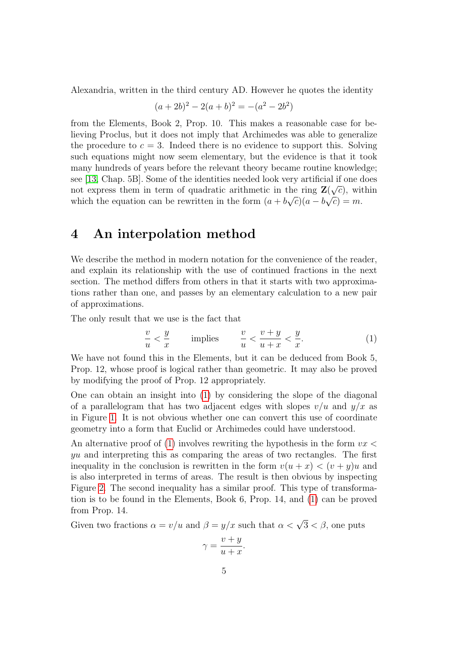Alexandria, written in the third century AD. However he quotes the identity

$$
(a+2b)^2 - 2(a+b)^2 = -(a^2 - 2b^2)
$$

from the Elements, Book 2, Prop. 10. This makes a reasonable case for believing Proclus, but it does not imply that Archimedes was able to generalize the procedure to  $c = 3$ . Indeed there is no evidence to support this. Solving such equations might now seem elementary, but the evidence is that it took many hundreds of years before the relevant theory became routine knowledge; see [\[13,](#page-14-1) Chap. 5B]. Some of the identities needed look very artificial if one does not express them in term of quadratic arithmetic in the ring  $\mathbf{Z}(\sqrt{c})$ , within which the equation can be rewritten in the form  $(a + b\sqrt{c})(a - b\sqrt{c}) = m$ .

#### <span id="page-4-0"></span>4 An interpolation method

We describe the method in modern notation for the convenience of the reader, and explain its relationship with the use of continued fractions in the next section. The method differs from others in that it starts with two approximations rather than one, and passes by an elementary calculation to a new pair of approximations.

The only result that we use is the fact that

<span id="page-4-1"></span>
$$
\frac{v}{u} < \frac{y}{x} \qquad \text{implies} \qquad \frac{v}{u} < \frac{v+y}{u+x} < \frac{y}{x}.\tag{1}
$$

We have not found this in the Elements, but it can be deduced from Book 5, Prop. 12, whose proof is logical rather than geometric. It may also be proved by modifying the proof of Prop. 12 appropriately.

One can obtain an insight into [\(1\)](#page-4-1) by considering the slope of the diagonal of a parallelogram that has two adjacent edges with slopes  $v/u$  and  $y/x$  as in Figure [1.](#page-5-0) It is not obvious whether one can convert this use of coordinate geometry into a form that Euclid or Archimedes could have understood.

An alternative proof of [\(1\)](#page-4-1) involves rewriting the hypothesis in the form  $vx <$ yu and interpreting this as comparing the areas of two rectangles. The first inequality in the conclusion is rewritten in the form  $v(u + x) < (v + y)u$  and is also interpreted in terms of areas. The result is then obvious by inspecting Figure [2.](#page-5-1) The second inequality has a similar proof. This type of transformation is to be found in the Elements, Book 6, Prop. 14, and [\(1\)](#page-4-1) can be proved from Prop. 14.

Given two fractions  $\alpha = v/u$  and  $\beta = y/x$  such that  $\alpha < \sqrt{3} < \beta$ , one puts

$$
\gamma = \frac{v + y}{u + x}.
$$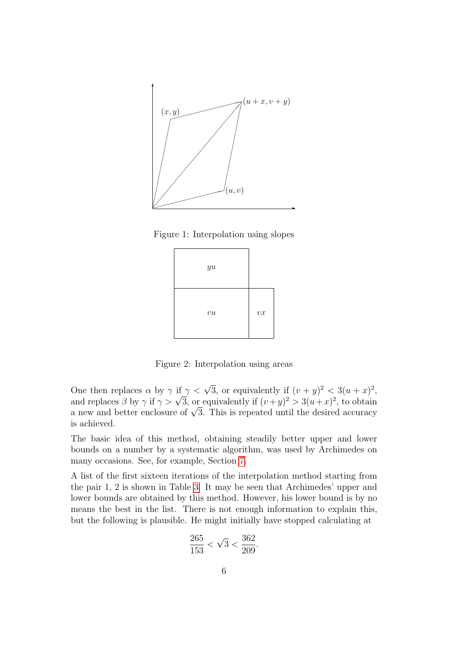

Figure 1: Interpolation using slopes

<span id="page-5-0"></span>

<span id="page-5-1"></span>Figure 2: Interpolation using areas

One then replaces  $\alpha$  by  $\gamma$  if  $\gamma < \sqrt{3}$ , or equivalently if  $(v + y)^2 < 3(u + x)^2$ , and replaces  $\beta$  by  $\gamma$  if  $\gamma > \sqrt{3}$ , or equivalently if  $(v + y)^2 > 3(u + x)^2$ , to obtain and replaces  $\rho$  by  $\gamma$  if  $\gamma > \nu$  3, or equivalently if  $(v+y)^{-} > 3(u+x)^{-}$ , to obtain a new and better enclosure of  $\sqrt{3}$ . This is repeated until the desired accuracy is achieved.

The basic idea of this method, obtaining steadily better upper and lower bounds on a number by a systematic algorithm, was used by Archimedes on many occasions. See, for example, Section [7.](#page-10-0)

A list of the first sixteen iterations of the interpolation method starting from the pair 1, 2 is shown in Table [3.](#page-6-0) It may be seen that Archimedes' upper and lower bounds are obtained by this method. However, his lower bound is by no means the best in the list. There is not enough information to explain this, but the following is plausible. He might initially have stopped calculating at

$$
\frac{265}{153} < \sqrt{3} < \frac{362}{209}.
$$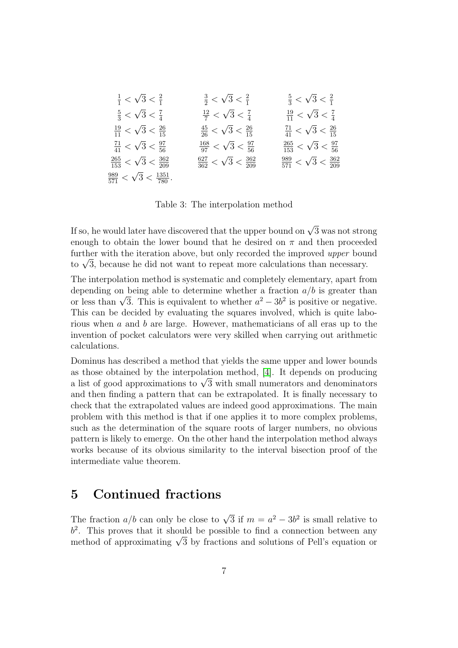$$
\frac{1}{1} < \sqrt{3} < \frac{2}{1} \qquad \frac{3}{2} < \sqrt{3} < \frac{2}{1} \qquad \frac{5}{3} < \sqrt{3} < \frac{2}{1}
$$
\n
$$
\frac{5}{3} < \sqrt{3} < \frac{7}{4} \qquad \frac{12}{7} < \sqrt{3} < \frac{7}{4} \qquad \frac{19}{11} < \sqrt{3} < \frac{7}{4}
$$
\n
$$
\frac{19}{11} < \sqrt{3} < \frac{26}{15} \qquad \frac{45}{26} < \sqrt{3} < \frac{26}{15} \qquad \frac{71}{41} < \sqrt{3} < \frac{26}{15}
$$
\n
$$
\frac{71}{41} < \sqrt{3} < \frac{97}{56} \qquad \frac{168}{97} < \sqrt{3} < \frac{97}{56} \qquad \frac{265}{153} < \sqrt{3} < \frac{97}{56}
$$
\n
$$
\frac{265}{153} < \sqrt{3} < \frac{362}{209} \qquad \frac{627}{362} < \sqrt{3} < \frac{362}{209} \qquad \frac{989}{571} < \sqrt{3} < \frac{362}{209}
$$

<span id="page-6-0"></span>Table 3: The interpolation method

If so, he would later have discovered that the upper bound on  $\sqrt{3}$  was not strong enough to obtain the lower bound that he desired on  $\pi$  and then proceeded further with the iteration above, but only recorded the improved upper bound further with the iteration above, but only recorded the improved *upper* bou<br>to  $\sqrt{3}$ , because he did not want to repeat more calculations than necessary.

The interpolation method is systematic and completely elementary, apart from depending on being able to determine whether a fraction  $a/b$  is greater than depending on being able to determine whether a fraction  $a/\nu$  is greater than<br>or less than  $\sqrt{3}$ . This is equivalent to whether  $a^2 - 3b^2$  is positive or negative. This can be decided by evaluating the squares involved, which is quite laborious when a and b are large. However, mathematicians of all eras up to the invention of pocket calculators were very skilled when carrying out arithmetic calculations.

Dominus has described a method that yields the same upper and lower bounds as those obtained by the interpolation method, [\[4\]](#page-13-1). It depends on producing as those obtained by the interpolation method, [4]. It depends on producing<br>a list of good approximations to  $\sqrt{3}$  with small numerators and denominators and then finding a pattern that can be extrapolated. It is finally necessary to check that the extrapolated values are indeed good approximations. The main problem with this method is that if one applies it to more complex problems, such as the determination of the square roots of larger numbers, no obvious pattern is likely to emerge. On the other hand the interpolation method always works because of its obvious similarity to the interval bisection proof of the intermediate value theorem.

# 5 Continued fractions

The fraction  $a/b$  can only be close to  $\sqrt{3}$  if  $m = a^2 - 3b^2$  is small relative to  $b<sup>2</sup>$ . This proves that it should be possible to find a connection between any  $\sigma$ . This proves that it should be possible to find a connection between any method of approximating  $\sqrt{3}$  by fractions and solutions of Pell's equation or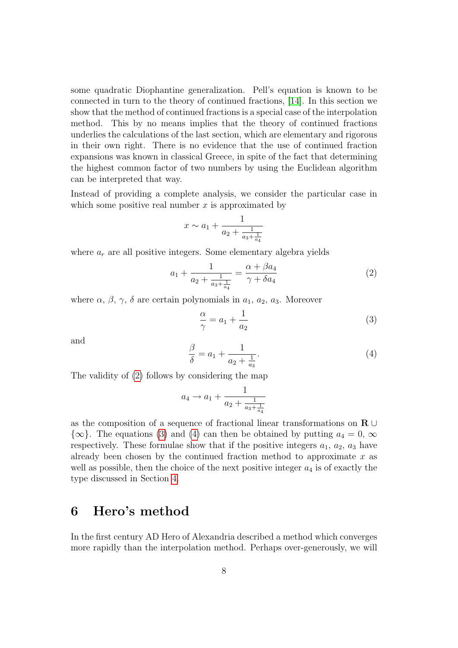some quadratic Diophantine generalization. Pell's equation is known to be connected in turn to the theory of continued fractions, [\[14\]](#page-14-2). In this section we show that the method of continued fractions is a special case of the interpolation method. This by no means implies that the theory of continued fractions underlies the calculations of the last section, which are elementary and rigorous in their own right. There is no evidence that the use of continued fraction expansions was known in classical Greece, in spite of the fact that determining the highest common factor of two numbers by using the Euclidean algorithm can be interpreted that way.

Instead of providing a complete analysis, we consider the particular case in which some positive real number  $x$  is approximated by

$$
x \sim a_1 + \frac{1}{a_2 + \frac{1}{a_3 + \frac{1}{a_4}}}
$$

where  $a_r$  are all positive integers. Some elementary algebra yields

<span id="page-7-0"></span>
$$
a_1 + \frac{1}{a_2 + \frac{1}{a_3 + \frac{1}{a_4}}} = \frac{\alpha + \beta a_4}{\gamma + \delta a_4} \tag{2}
$$

where  $\alpha$ ,  $\beta$ ,  $\gamma$ ,  $\delta$  are certain polynomials in  $a_1$ ,  $a_2$ ,  $a_3$ . Moreover

<span id="page-7-1"></span>
$$
\frac{\alpha}{\gamma} = a_1 + \frac{1}{a_2} \tag{3}
$$

and

<span id="page-7-2"></span>
$$
\frac{\beta}{\delta} = a_1 + \frac{1}{a_2 + \frac{1}{a_3}}.\tag{4}
$$

The validity of [\(2\)](#page-7-0) follows by considering the map

$$
a_4 \to a_1 + \frac{1}{a_2 + \frac{1}{a_3 + \frac{1}{a_4}}}
$$

as the composition of a sequence of fractional linear transformations on  $\mathbf{R} \cup$  $\{\infty\}$ . The equations [\(3\)](#page-7-1) and [\(4\)](#page-7-2) can then be obtained by putting  $a_4 = 0$ ,  $\infty$ respectively. These formulae show that if the positive integers  $a_1, a_2, a_3$  have already been chosen by the continued fraction method to approximate  $x$  as well as possible, then the choice of the next positive integer  $a_4$  is of exactly the type discussed in Section [4.](#page-4-0)

# 6 Hero's method

In the first century AD Hero of Alexandria described a method which converges more rapidly than the interpolation method. Perhaps over-generously, we will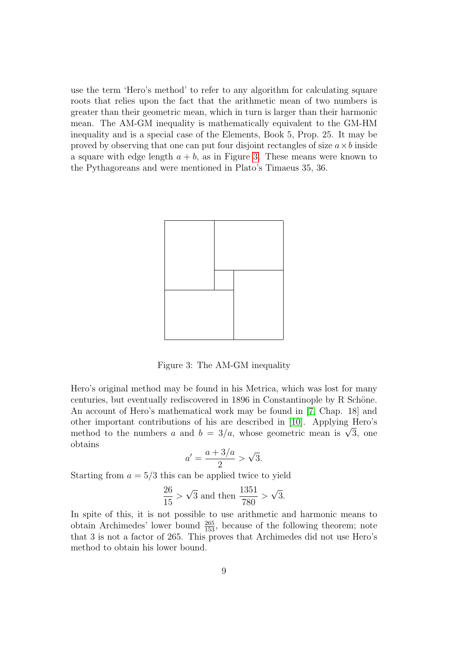use the term 'Hero's method' to refer to any algorithm for calculating square roots that relies upon the fact that the arithmetic mean of two numbers is greater than their geometric mean, which in turn is larger than their harmonic mean. The AM-GM inequality is mathematically equivalent to the GM-HM inequality and is a special case of the Elements, Book 5, Prop. 25. It may be proved by observing that one can put four disjoint rectangles of size  $a \times b$  inside a square with edge length  $a + b$ , as in Figure [3.](#page-8-0) These means were known to the Pythagoreans and were mentioned in Plato's Timaeus 35, 36.



<span id="page-8-0"></span>Figure 3: The AM-GM inequality

Hero's original method may be found in his Metrica, which was lost for many centuries, but eventually rediscovered in 1896 in Constantinople by R Schöne. An account of Hero's mathematical work may be found in [\[7,](#page-13-3) Chap. 18] and other important contributions of his are described in [\[10\]](#page-13-10). Applying Hero's other important contributions of his are described in [10]. Applying Hero's method to the numbers a and  $b = 3/a$ , whose geometric mean is  $\sqrt{3}$ , one obtains

$$
a' = \frac{a+3/a}{2} > \sqrt{3}.
$$

Starting from  $a = 5/3$  this can be applied twice to yield

$$
\frac{26}{15}
$$
 >  $\sqrt{3}$  and then  $\frac{1351}{780}$  >  $\sqrt{3}$ .

In spite of this, it is not possible to use arithmetic and harmonic means to obtain Archimedes' lower bound  $\frac{265}{153}$ , because of the following theorem; note that 3 is not a factor of 265. This proves that Archimedes did not use Hero's method to obtain his lower bound.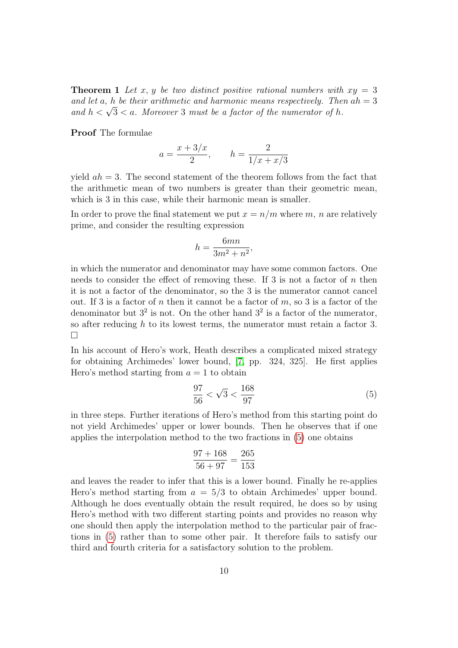**Theorem 1** Let x, y be two distinct positive rational numbers with  $xy = 3$ and let a, h be their arithmetic and harmonic means respectively. Then  $ah = 3$ and let a, n be their arithmetic and harmonic means respectively. The and  $h < \sqrt{3} < a$ . Moreover 3 must be a factor of the numerator of h.

Proof The formulae

$$
a = \frac{x + 3/x}{2}
$$
,  $h = \frac{2}{1/x + x/3}$ 

yield  $ah = 3$ . The second statement of the theorem follows from the fact that the arithmetic mean of two numbers is greater than their geometric mean, which is 3 in this case, while their harmonic mean is smaller.

In order to prove the final statement we put  $x = n/m$  where m, n are relatively prime, and consider the resulting expression

$$
h = \frac{6mn}{3m^2 + n^2},
$$

in which the numerator and denominator may have some common factors. One needs to consider the effect of removing these. If 3 is not a factor of  $n$  then it is not a factor of the denominator, so the 3 is the numerator cannot cancel out. If 3 is a factor of n then it cannot be a factor of  $m$ , so 3 is a factor of the denominator but  $3^2$  is not. On the other hand  $3^2$  is a factor of the numerator, so after reducing h to its lowest terms, the numerator must retain a factor 3.  $\Box$ 

In his account of Hero's work, Heath describes a complicated mixed strategy for obtaining Archimedes' lower bound, [\[7,](#page-13-3) pp. 324, 325]. He first applies Hero's method starting from  $a = 1$  to obtain

<span id="page-9-0"></span>
$$
\frac{97}{56} < \sqrt{3} < \frac{168}{97} \tag{5}
$$

in three steps. Further iterations of Hero's method from this starting point do not yield Archimedes' upper or lower bounds. Then he observes that if one applies the interpolation method to the two fractions in [\(5\)](#page-9-0) one obtains

$$
\frac{97+168}{56+97} = \frac{265}{153}
$$

and leaves the reader to infer that this is a lower bound. Finally he re-applies Hero's method starting from  $a = 5/3$  to obtain Archimedes' upper bound. Although he does eventually obtain the result required, he does so by using Hero's method with two different starting points and provides no reason why one should then apply the interpolation method to the particular pair of fractions in [\(5\)](#page-9-0) rather than to some other pair. It therefore fails to satisfy our third and fourth criteria for a satisfactory solution to the problem.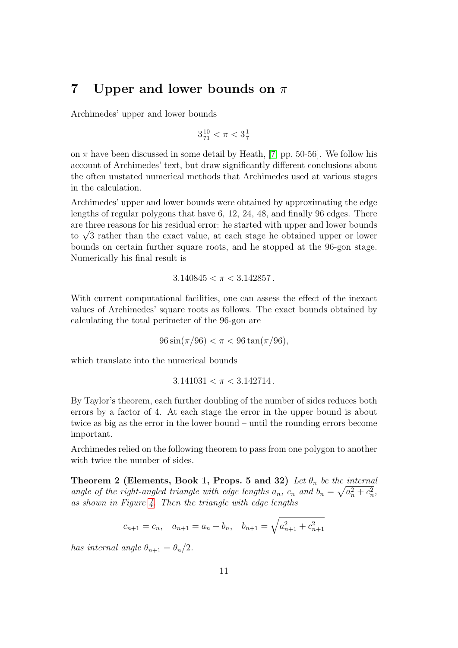## <span id="page-10-0"></span>7 Upper and lower bounds on  $\pi$

Archimedes' upper and lower bounds

$$
3\tfrac{10}{71}<\pi<3\tfrac{1}{7}
$$

on  $\pi$  have been discussed in some detail by Heath, [\[7,](#page-13-3) pp. 50-56]. We follow his account of Archimedes' text, but draw significantly different conclusions about the often unstated numerical methods that Archimedes used at various stages in the calculation.

Archimedes' upper and lower bounds were obtained by approximating the edge lengths of regular polygons that have 6, 12, 24, 48, and finally 96 edges. There are three reasons for his residual error: he started with upper and lower bounds are three reasons for his residual error: he started with upper and lower bounds<br>to  $\sqrt{3}$  rather than the exact value, at each stage he obtained upper or lower bounds on certain further square roots, and he stopped at the 96-gon stage. Numerically his final result is

$$
3.140845 < \pi < 3.142857.
$$

With current computational facilities, one can assess the effect of the inexact values of Archimedes' square roots as follows. The exact bounds obtained by calculating the total perimeter of the 96-gon are

$$
96\sin(\pi/96) < \pi < 96\tan(\pi/96),
$$

which translate into the numerical bounds

$$
3.141031 < \pi < 3.142714.
$$

By Taylor's theorem, each further doubling of the number of sides reduces both errors by a factor of 4. At each stage the error in the upper bound is about twice as big as the error in the lower bound – until the rounding errors become important.

Archimedes relied on the following theorem to pass from one polygon to another with twice the number of sides.

<span id="page-10-1"></span>**Theorem 2 (Elements, Book 1, Props. 5 and 32)** Let  $\theta_n$  be the internal angle of the right-angled triangle with edge lengths  $a_n$ ,  $c_n$  and  $b_n = \sqrt{a_n^2 + c_n^2}$ , as shown in Figure [4.](#page-11-0) Then the triangle with edge lengths

$$
c_{n+1} = c_n
$$
,  $a_{n+1} = a_n + b_n$ ,  $b_{n+1} = \sqrt{a_{n+1}^2 + c_{n+1}^2}$ 

has internal angle  $\theta_{n+1} = \theta_n/2$ .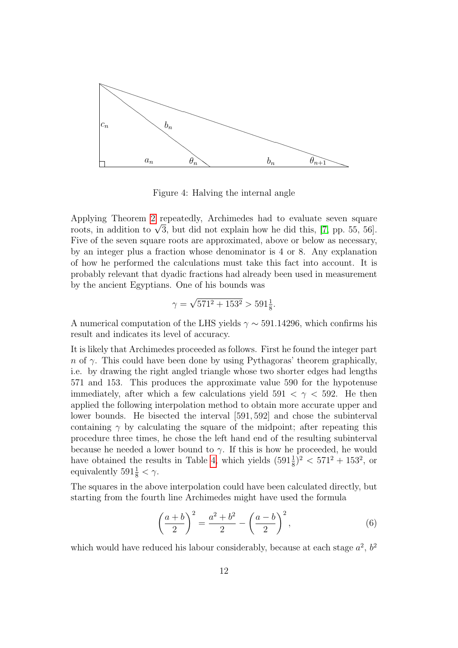

<span id="page-11-0"></span>Figure 4: Halving the internal angle

Applying Theorem [2](#page-10-1) repeatedly, Archimedes had to evaluate seven square Applying Theorem 2 repeatedly, Archimedes had to evaluate seven square roots, in addition to  $\sqrt{3}$ , but did not explain how he did this, [\[7,](#page-13-3) pp. 55, 56]. Five of the seven square roots are approximated, above or below as necessary, by an integer plus a fraction whose denominator is 4 or 8. Any explanation of how he performed the calculations must take this fact into account. It is probably relevant that dyadic fractions had already been used in measurement by the ancient Egyptians. One of his bounds was

$$
\gamma = \sqrt{571^2 + 153^2} > 591 \frac{1}{8}.
$$

A numerical computation of the LHS yields  $\gamma \sim 591.14296$ , which confirms his result and indicates its level of accuracy.

It is likely that Archimedes proceeded as follows. First he found the integer part n of  $\gamma$ . This could have been done by using Pythagoras' theorem graphically, i.e. by drawing the right angled triangle whose two shorter edges had lengths 571 and 153. This produces the approximate value 590 for the hypotenuse immediately, after which a few calculations yield  $591 < \gamma < 592$ . He then applied the following interpolation method to obtain more accurate upper and lower bounds. He bisected the interval [591, 592] and chose the subinterval containing  $\gamma$  by calculating the square of the midpoint; after repeating this procedure three times, he chose the left hand end of the resulting subinterval because he needed a lower bound to  $\gamma$ . If this is how he proceeded, he would have obtained the results in Table [4,](#page-12-0) which yields  $(591\frac{1}{8})^2 < 571^2 + 153^2$ , or equivalently  $591\frac{1}{8} < \gamma$ .

The squares in the above interpolation could have been calculated directly, but starting from the fourth line Archimedes might have used the formula

<span id="page-11-1"></span>
$$
\left(\frac{a+b}{2}\right)^2 = \frac{a^2+b^2}{2} - \left(\frac{a-b}{2}\right)^2,\tag{6}
$$

which would have reduced his labour considerably, because at each stage  $a^2$ ,  $b^2$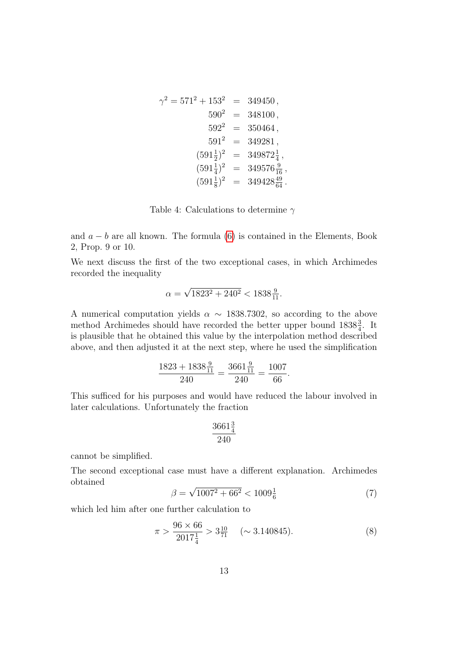$$
\gamma^2 = 571^2 + 153^2 = 349450,
$$
  
\n
$$
590^2 = 348100,
$$
  
\n
$$
592^2 = 350464,
$$
  
\n
$$
591^2 = 349281,
$$
  
\n
$$
(591\frac{1}{2})^2 = 349872\frac{1}{4},
$$
  
\n
$$
(591\frac{1}{4})^2 = 349576\frac{9}{16},
$$
  
\n
$$
(591\frac{1}{8})^2 = 349428\frac{49}{64}.
$$

<span id="page-12-0"></span>Table 4: Calculations to determine  $\gamma$ 

and  $a - b$  are all known. The formula [\(6\)](#page-11-1) is contained in the Elements, Book 2, Prop. 9 or 10.

We next discuss the first of the two exceptional cases, in which Archimedes recorded the inequality

$$
\alpha = \sqrt{1823^2 + 240^2} < 1838 \frac{9}{11}.
$$

A numerical computation yields  $\alpha \sim 1838.7302$ , so according to the above method Archimedes should have recorded the better upper bound  $1838\frac{3}{4}$ . It is plausible that he obtained this value by the interpolation method described above, and then adjusted it at the next step, where he used the simplification

$$
\frac{1823 + 1838\frac{9}{11}}{240} = \frac{3661\frac{9}{11}}{240} = \frac{1007}{66}.
$$

This sufficed for his purposes and would have reduced the labour involved in later calculations. Unfortunately the fraction

$$
\frac{3661\frac{3}{4}}{240}
$$

cannot be simplified.

The second exceptional case must have a different explanation. Archimedes obtained √

<span id="page-12-1"></span>
$$
\beta = \sqrt{1007^2 + 66^2} < 1009\frac{1}{6} \tag{7}
$$

which led him after one further calculation to

<span id="page-12-2"></span>
$$
\pi > \frac{96 \times 66}{2017\frac{1}{4}} > 3\frac{10}{71} \quad (\sim 3.140845). \tag{8}
$$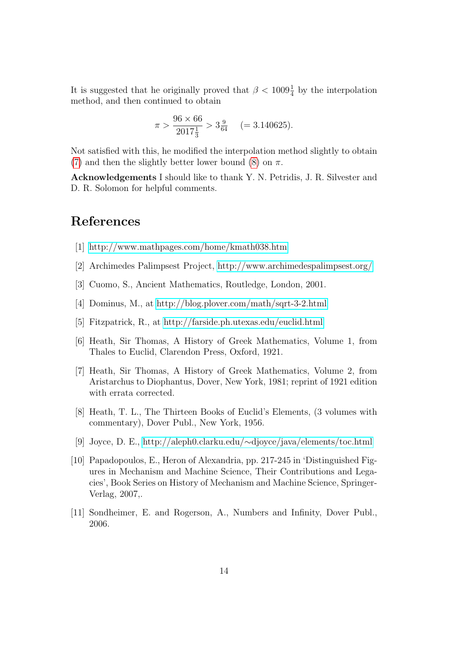It is suggested that he originally proved that  $\beta < 1009\frac{1}{4}$  by the interpolation method, and then continued to obtain

$$
\pi > \frac{96 \times 66}{2017\frac{1}{3}} > 3\frac{9}{64} \quad (= 3.140625).
$$

Not satisfied with this, he modified the interpolation method slightly to obtain [\(7\)](#page-12-1) and then the slightly better lower bound [\(8\)](#page-12-2) on  $\pi$ .

Acknowledgements I should like to thank Y. N. Petridis, J. R. Silvester and D. R. Solomon for helpful comments.

### References

- <span id="page-13-0"></span>[1]<http://www.mathpages.com/home/kmath038.htm>
- <span id="page-13-9"></span>[2] Archimedes Palimpsest Project,<http://www.archimedespalimpsest.org/>
- <span id="page-13-5"></span>[3] Cuomo, S., Ancient Mathematics, Routledge, London, 2001.
- <span id="page-13-1"></span>[4] Dominus, M., at<http://blog.plover.com/math/sqrt-3-2.html>
- <span id="page-13-7"></span>[5] Fitzpatrick, R., at<http://farside.ph.utexas.edu/euclid.html>
- <span id="page-13-2"></span>[6] Heath, Sir Thomas, A History of Greek Mathematics, Volume 1, from Thales to Euclid, Clarendon Press, Oxford, 1921.
- <span id="page-13-3"></span>[7] Heath, Sir Thomas, A History of Greek Mathematics, Volume 2, from Aristarchus to Diophantus, Dover, New York, 1981; reprint of 1921 edition with errata corrected.
- <span id="page-13-6"></span>[8] Heath, T. L., The Thirteen Books of Euclid's Elements, (3 volumes with commentary), Dover Publ., New York, 1956.
- <span id="page-13-8"></span>[9] Joyce, D. E., http://aleph0.clarku.edu/∼[djoyce/java/elements/toc.html](http://aleph0.clarku.edu/~djoyce/java/elements/toc.html)
- <span id="page-13-10"></span>[10] Papadopoulos, E., Heron of Alexandria, pp. 217-245 in 'Distinguished Figures in Mechanism and Machine Science, Their Contributions and Legacies', Book Series on History of Mechanism and Machine Science, Springer-Verlag, 2007,.
- <span id="page-13-4"></span>[11] Sondheimer, E. and Rogerson, A., Numbers and Infinity, Dover Publ., 2006.